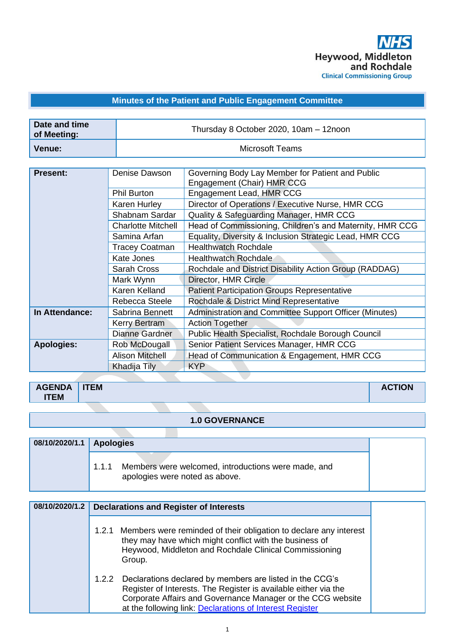

### **Minutes of the Patient and Public Engagement Committee**

| Date and time<br>of Meeting: | Thursday 8 October 2020, 10am - 12noon |
|------------------------------|----------------------------------------|
| Venue:                       | Microsoft Teams                        |

| Engagement Lead, HMR CCG<br><b>Phil Burton</b><br>Director of Operations / Executive Nurse, HMR CCG<br>Karen Hurley<br>Quality & Safeguarding Manager, HMR CCG<br>Shabnam Sardar<br>Head of Commissioning, Children's and Maternity, HMR CCG<br><b>Charlotte Mitchell</b><br>Equality, Diversity & Inclusion Strategic Lead, HMR CCG<br>Samina Arfan<br><b>Healthwatch Rochdale</b><br><b>Tracey Coatman</b><br>Kate Jones<br><b>Healthwatch Rochdale</b><br><b>Sarah Cross</b><br>Rochdale and District Disability Action Group (RADDAG)<br>Mark Wynn<br>Director, HMR Circle |  |
|--------------------------------------------------------------------------------------------------------------------------------------------------------------------------------------------------------------------------------------------------------------------------------------------------------------------------------------------------------------------------------------------------------------------------------------------------------------------------------------------------------------------------------------------------------------------------------|--|
|                                                                                                                                                                                                                                                                                                                                                                                                                                                                                                                                                                                |  |
|                                                                                                                                                                                                                                                                                                                                                                                                                                                                                                                                                                                |  |
|                                                                                                                                                                                                                                                                                                                                                                                                                                                                                                                                                                                |  |
|                                                                                                                                                                                                                                                                                                                                                                                                                                                                                                                                                                                |  |
|                                                                                                                                                                                                                                                                                                                                                                                                                                                                                                                                                                                |  |
|                                                                                                                                                                                                                                                                                                                                                                                                                                                                                                                                                                                |  |
|                                                                                                                                                                                                                                                                                                                                                                                                                                                                                                                                                                                |  |
|                                                                                                                                                                                                                                                                                                                                                                                                                                                                                                                                                                                |  |
|                                                                                                                                                                                                                                                                                                                                                                                                                                                                                                                                                                                |  |
| Karen Kelland<br><b>Patient Participation Groups Representative</b>                                                                                                                                                                                                                                                                                                                                                                                                                                                                                                            |  |
| Rochdale & District Mind Representative<br>Rebecca Steele                                                                                                                                                                                                                                                                                                                                                                                                                                                                                                                      |  |
| Administration and Committee Support Officer (Minutes)<br>In Attendance:<br>Sabrina Bennett                                                                                                                                                                                                                                                                                                                                                                                                                                                                                    |  |
| <b>Action Together</b><br><b>Kerry Bertram</b>                                                                                                                                                                                                                                                                                                                                                                                                                                                                                                                                 |  |
| <b>Dianne Gardner</b><br>Public Health Specialist, Rochdale Borough Council                                                                                                                                                                                                                                                                                                                                                                                                                                                                                                    |  |
| Senior Patient Services Manager, HMR CCG<br><b>Apologies:</b><br>Rob McDougall                                                                                                                                                                                                                                                                                                                                                                                                                                                                                                 |  |
| <b>Alison Mitchell</b><br>Head of Communication & Engagement, HMR CCG                                                                                                                                                                                                                                                                                                                                                                                                                                                                                                          |  |
| <b>KYP</b><br>Khadija Tily                                                                                                                                                                                                                                                                                                                                                                                                                                                                                                                                                     |  |

| <b>AGENDA</b><br><b>ITEM</b> | <b>ITEM</b> | <b>CONTRACTOR</b><br>חשו<br>nv |
|------------------------------|-------------|--------------------------------|
|                              |             |                                |

#### **1.0 GOVERNANCE**

| 08/10/2020/1.1 Apologies |       |                                                                                       |
|--------------------------|-------|---------------------------------------------------------------------------------------|
|                          | 1.1.1 | Members were welcomed, introductions were made, and<br>apologies were noted as above. |

| 08/10/2020/1.2 | <b>Declarations and Register of Interests</b>                                                                                                                                                                                                                   |
|----------------|-----------------------------------------------------------------------------------------------------------------------------------------------------------------------------------------------------------------------------------------------------------------|
|                | Members were reminded of their obligation to declare any interest<br>1.2.1<br>they may have which might conflict with the business of<br>Heywood, Middleton and Rochdale Clinical Commissioning<br>Group.                                                       |
|                | Declarations declared by members are listed in the CCG's<br>1.2.2<br>Register of Interests. The Register is available either via the<br>Corporate Affairs and Governance Manager or the CCG website<br>at the following link: Declarations of Interest Register |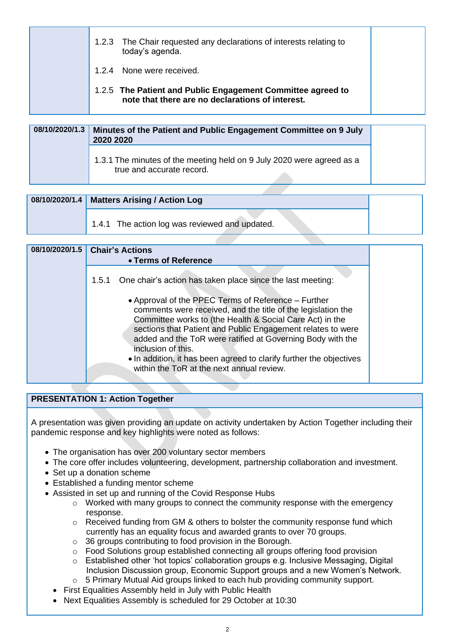| 1.2.3 The Chair requested any declarations of interests relating to<br>today's agenda.                          |
|-----------------------------------------------------------------------------------------------------------------|
| 1.2.4 None were received.                                                                                       |
| 1.2.5 The Patient and Public Engagement Committee agreed to<br>note that there are no declarations of interest. |

| 08/10/2020/1.3 | Minutes of the Patient and Public Engagement Committee on 9 July<br>2020 2020                      |
|----------------|----------------------------------------------------------------------------------------------------|
|                | 1.3.1 The minutes of the meeting held on 9 July 2020 were agreed as a<br>true and accurate record. |

| 08/10/2020/1.4   Matters Arising / Action Log  |
|------------------------------------------------|
| 1.4.1 The action log was reviewed and updated. |

| 08/10/2020/1.5 Chair's Actions                                                                                                                                                                                                                                                                                                                                                                                                                         |  |
|--------------------------------------------------------------------------------------------------------------------------------------------------------------------------------------------------------------------------------------------------------------------------------------------------------------------------------------------------------------------------------------------------------------------------------------------------------|--|
| • Terms of Reference                                                                                                                                                                                                                                                                                                                                                                                                                                   |  |
| 1.5.1 One chair's action has taken place since the last meeting:                                                                                                                                                                                                                                                                                                                                                                                       |  |
| • Approval of the PPEC Terms of Reference – Further<br>comments were received, and the title of the legislation the<br>Committee works to (the Health & Social Care Act) in the<br>sections that Patient and Public Engagement relates to were<br>added and the ToR were ratified at Governing Body with the<br>inclusion of this.<br>. In addition, it has been agreed to clarify further the objectives<br>within the ToR at the next annual review. |  |

#### **PRESENTATION 1: Action Together**

A presentation was given providing an update on activity undertaken by Action Together including their pandemic response and key highlights were noted as follows:

- The organisation has over 200 voluntary sector members
- The core offer includes volunteering, development, partnership collaboration and investment.
- Set up a donation scheme
- Established a funding mentor scheme
- Assisted in set up and running of the Covid Response Hubs
	- o Worked with many groups to connect the community response with the emergency response.
	- $\circ$  Received funding from GM & others to bolster the community response fund which currently has an equality focus and awarded grants to over 70 groups.
	- o 36 groups contributing to food provision in the Borough.
	- $\circ$  Food Solutions group established connecting all groups offering food provision
	- o Established other 'hot topics' collaboration groups e.g. Inclusive Messaging, Digital Inclusion Discussion group, Economic Support groups and a new Women's Network.
	- o 5 Primary Mutual Aid groups linked to each hub providing community support.
	- First Equalities Assembly held in July with Public Health
	- Next Equalities Assembly is scheduled for 29 October at 10:30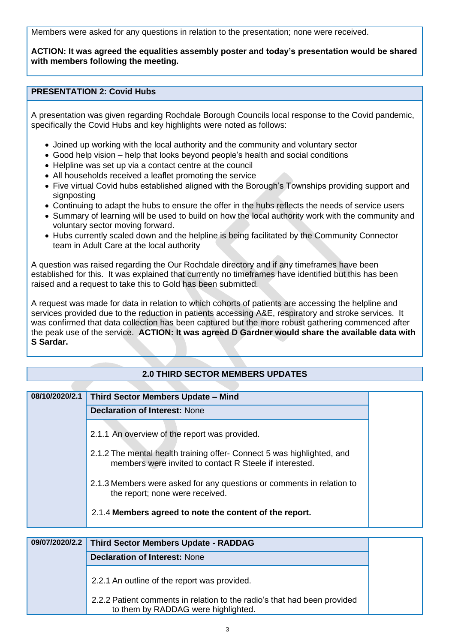Members were asked for any questions in relation to the presentation; none were received.

**ACTION: It was agreed the equalities assembly poster and today's presentation would be shared with members following the meeting.**

#### **PRESENTATION 2: Covid Hubs**

A presentation was given regarding Rochdale Borough Councils local response to the Covid pandemic, specifically the Covid Hubs and key highlights were noted as follows:

- Joined up working with the local authority and the community and voluntary sector
- Good help vision help that looks beyond people's health and social conditions
- Helpline was set up via a contact centre at the council
- All households received a leaflet promoting the service
- Five virtual Covid hubs established aligned with the Borough's Townships providing support and signposting
- Continuing to adapt the hubs to ensure the offer in the hubs reflects the needs of service users
- Summary of learning will be used to build on how the local authority work with the community and voluntary sector moving forward.
- Hubs currently scaled down and the helpline is being facilitated by the Community Connector team in Adult Care at the local authority

A question was raised regarding the Our Rochdale directory and if any timeframes have been established for this. It was explained that currently no timeframes have identified but this has been raised and a request to take this to Gold has been submitted.

A request was made for data in relation to which cohorts of patients are accessing the helpline and services provided due to the reduction in patients accessing A&E, respiratory and stroke services. It was confirmed that data collection has been captured but the more robust gathering commenced after the peak use of the service. **ACTION: It was agreed D Gardner would share the available data with S Sardar.**

#### **2.0 THIRD SECTOR MEMBERS UPDATES**

| 08/10/2020/2.1 | Third Sector Members Update - Mind                                                                                                |  |
|----------------|-----------------------------------------------------------------------------------------------------------------------------------|--|
|                | <b>Declaration of Interest: None</b>                                                                                              |  |
|                | 2.1.1 An overview of the report was provided.                                                                                     |  |
|                | 2.1.2 The mental health training offer- Connect 5 was highlighted, and<br>members were invited to contact R Steele if interested. |  |
|                | 2.1.3 Members were asked for any questions or comments in relation to<br>the report; none were received.                          |  |
|                | 2.1.4 Members agreed to note the content of the report.                                                                           |  |

| 09/07/2020/2.2 Third Sector Members Update - RADDAG                                                             |  |
|-----------------------------------------------------------------------------------------------------------------|--|
| <b>Declaration of Interest: None</b>                                                                            |  |
| 2.2.1 An outline of the report was provided.                                                                    |  |
| 2.2.2 Patient comments in relation to the radio's that had been provided<br>to them by RADDAG were highlighted. |  |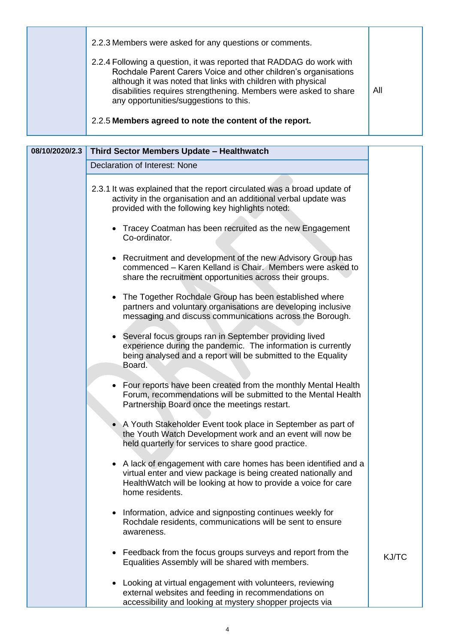|  | 2.2.3 Members were asked for any questions or comments.                                                                                                                                                                                                                                                               |     |
|--|-----------------------------------------------------------------------------------------------------------------------------------------------------------------------------------------------------------------------------------------------------------------------------------------------------------------------|-----|
|  | 2.2.4 Following a question, it was reported that RADDAG do work with<br>Rochdale Parent Carers Voice and other children's organisations<br>although it was noted that links with children with physical<br>disabilities requires strengthening. Members were asked to share<br>any opportunities/suggestions to this. | All |
|  | 2.2.5 Members agreed to note the content of the report.                                                                                                                                                                                                                                                               |     |

| 08/10/2020/2.3 | Third Sector Members Update - Healthwatch                                                                                                                                                                                          |
|----------------|------------------------------------------------------------------------------------------------------------------------------------------------------------------------------------------------------------------------------------|
|                | Declaration of Interest: None                                                                                                                                                                                                      |
|                | 2.3.1 It was explained that the report circulated was a broad update of<br>activity in the organisation and an additional verbal update was<br>provided with the following key highlights noted:                                   |
|                | • Tracey Coatman has been recruited as the new Engagement<br>Co-ordinator.                                                                                                                                                         |
|                | Recruitment and development of the new Advisory Group has<br>$\bullet$<br>commenced - Karen Kelland is Chair. Members were asked to<br>share the recruitment opportunities across their groups.                                    |
|                | The Together Rochdale Group has been established where<br>$\bullet$<br>partners and voluntary organisations are developing inclusive<br>messaging and discuss communications across the Borough.                                   |
|                | Several focus groups ran in September providing lived<br>$\bullet$<br>experience during the pandemic. The information is currently<br>being analysed and a report will be submitted to the Equality<br>Board.                      |
|                | • Four reports have been created from the monthly Mental Health<br>Forum, recommendations will be submitted to the Mental Health<br>Partnership Board once the meetings restart.                                                   |
|                | A Youth Stakeholder Event took place in September as part of<br>the Youth Watch Development work and an event will now be<br>held quarterly for services to share good practice.                                                   |
|                | A lack of engagement with care homes has been identified and a<br>$\bullet$<br>virtual enter and view package is being created nationally and<br>HealthWatch will be looking at how to provide a voice for care<br>home residents. |
|                | Information, advice and signposting continues weekly for<br>$\bullet$<br>Rochdale residents, communications will be sent to ensure<br>awareness.                                                                                   |
|                | Feedback from the focus groups surveys and report from the<br>$\bullet$<br>Equalities Assembly will be shared with members.                                                                                                        |
|                | Looking at virtual engagement with volunteers, reviewing<br>external websites and feeding in recommendations on<br>accessibility and looking at mystery shopper projects via                                                       |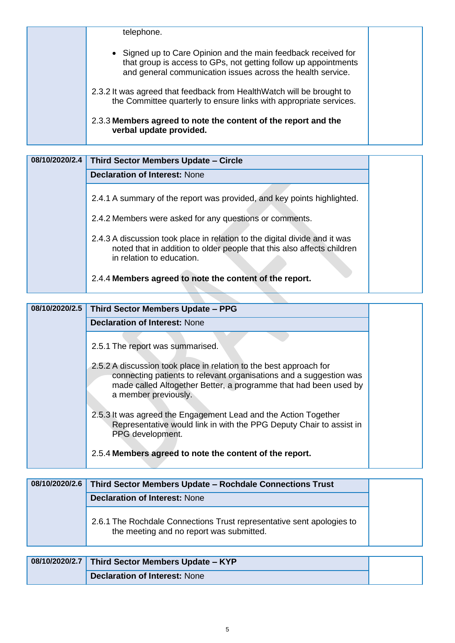| telephone.                                                                                                                                                                                       |  |
|--------------------------------------------------------------------------------------------------------------------------------------------------------------------------------------------------|--|
| • Signed up to Care Opinion and the main feedback received for<br>that group is access to GPs, not getting follow up appointments<br>and general communication issues across the health service. |  |
| 2.3.2 It was agreed that feedback from HealthWatch will be brought to<br>the Committee quarterly to ensure links with appropriate services.                                                      |  |
| 2.3.3 Members agreed to note the content of the report and the<br>verbal update provided.                                                                                                        |  |

| 08/10/2020/2.4 | Third Sector Members Update - Circle                                                                                                                                              |
|----------------|-----------------------------------------------------------------------------------------------------------------------------------------------------------------------------------|
|                | <b>Declaration of Interest: None</b>                                                                                                                                              |
|                | 2.4.1 A summary of the report was provided, and key points highlighted.                                                                                                           |
|                | 2.4.2 Members were asked for any questions or comments.                                                                                                                           |
|                | 2.4.3 A discussion took place in relation to the digital divide and it was<br>noted that in addition to older people that this also affects children<br>in relation to education. |
|                | 2.4.4 Members agreed to note the content of the report.                                                                                                                           |

| 08/10/2020/2.5 | Third Sector Members Update - PPG                                                                                                                                                                                                    |
|----------------|--------------------------------------------------------------------------------------------------------------------------------------------------------------------------------------------------------------------------------------|
|                | <b>Declaration of Interest: None</b>                                                                                                                                                                                                 |
|                | 2.5.1 The report was summarised.                                                                                                                                                                                                     |
|                | 2.5.2 A discussion took place in relation to the best approach for<br>connecting patients to relevant organisations and a suggestion was<br>made called Altogether Better, a programme that had been used by<br>a member previously. |
|                | 2.5.3 It was agreed the Engagement Lead and the Action Together<br>Representative would link in with the PPG Deputy Chair to assist in<br>PPG development.                                                                           |
|                | 2.5.4 Members agreed to note the content of the report.                                                                                                                                                                              |

| 08/10/2020/2.6 | Third Sector Members Update - Rochdale Connections Trust                                                          |
|----------------|-------------------------------------------------------------------------------------------------------------------|
|                | <b>Declaration of Interest: None</b>                                                                              |
|                | 2.6.1 The Rochdale Connections Trust representative sent apologies to<br>the meeting and no report was submitted. |

| 08/10/2020/2.7 Third Sector Members Update - KYP |
|--------------------------------------------------|
| Declaration of Interest: None                    |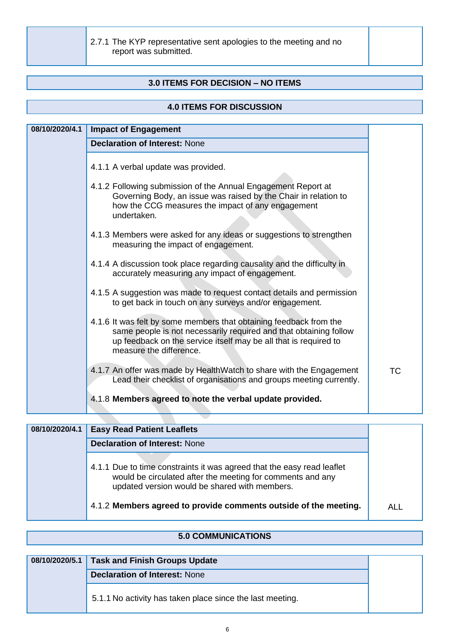2.7.1 The KYP representative sent apologies to the meeting and no report was submitted.

#### **3.0 ITEMS FOR DECISION – NO ITEMS**

#### **4.0 ITEMS FOR DISCUSSION**

| <b>Declaration of Interest: None</b><br>4.1.1 A verbal update was provided.<br>4.1.2 Following submission of the Annual Engagement Report at<br>Governing Body, an issue was raised by the Chair in relation to<br>how the CCG measures the impact of any engagement<br>undertaken.<br>4.1.3 Members were asked for any ideas or suggestions to strengthen<br>measuring the impact of engagement.<br>4.1.4 A discussion took place regarding causality and the difficulty in<br>accurately measuring any impact of engagement.<br>4.1.5 A suggestion was made to request contact details and permission |  |
|---------------------------------------------------------------------------------------------------------------------------------------------------------------------------------------------------------------------------------------------------------------------------------------------------------------------------------------------------------------------------------------------------------------------------------------------------------------------------------------------------------------------------------------------------------------------------------------------------------|--|
|                                                                                                                                                                                                                                                                                                                                                                                                                                                                                                                                                                                                         |  |
|                                                                                                                                                                                                                                                                                                                                                                                                                                                                                                                                                                                                         |  |
|                                                                                                                                                                                                                                                                                                                                                                                                                                                                                                                                                                                                         |  |
|                                                                                                                                                                                                                                                                                                                                                                                                                                                                                                                                                                                                         |  |
|                                                                                                                                                                                                                                                                                                                                                                                                                                                                                                                                                                                                         |  |
| to get back in touch on any surveys and/or engagement.                                                                                                                                                                                                                                                                                                                                                                                                                                                                                                                                                  |  |
| 4.1.6 It was felt by some members that obtaining feedback from the<br>same people is not necessarily required and that obtaining follow<br>up feedback on the service itself may be all that is required to<br>measure the difference.                                                                                                                                                                                                                                                                                                                                                                  |  |
| 4.1.7 An offer was made by HealthWatch to share with the Engagement<br><b>TC</b><br>Lead their checklist of organisations and groups meeting currently.                                                                                                                                                                                                                                                                                                                                                                                                                                                 |  |
| 4.1.8 Members agreed to note the verbal update provided.                                                                                                                                                                                                                                                                                                                                                                                                                                                                                                                                                |  |

| 08/10/2020/4.1 | <b>Easy Read Patient Leaflets</b>                                                                                                                                                     |      |
|----------------|---------------------------------------------------------------------------------------------------------------------------------------------------------------------------------------|------|
|                | <b>Declaration of Interest: None</b>                                                                                                                                                  |      |
|                | 4.1.1 Due to time constraints it was agreed that the easy read leaflet<br>would be circulated after the meeting for comments and any<br>updated version would be shared with members. |      |
|                | 4.1.2 Members agreed to provide comments outside of the meeting.                                                                                                                      | AL L |

#### **5.0 COMMUNICATIONS**

| 08/10/2020/5.1 Task and Finish Groups Update              |
|-----------------------------------------------------------|
| <b>Declaration of Interest: None</b>                      |
| 5.1.1 No activity has taken place since the last meeting. |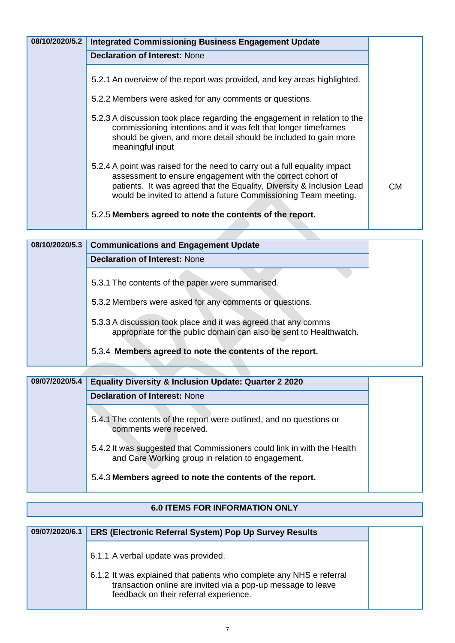| 08/10/2020/5.2 | <b>Integrated Commissioning Business Engagement Update</b>                                                                                                                                                                                                                          |    |
|----------------|-------------------------------------------------------------------------------------------------------------------------------------------------------------------------------------------------------------------------------------------------------------------------------------|----|
|                | <b>Declaration of Interest: None</b>                                                                                                                                                                                                                                                |    |
|                | 5.2.1 An overview of the report was provided, and key areas highlighted.                                                                                                                                                                                                            |    |
|                | 5.2.2 Members were asked for any comments or questions.                                                                                                                                                                                                                             |    |
|                | 5.2.3 A discussion took place regarding the engagement in relation to the<br>commissioning intentions and it was felt that longer timeframes<br>should be given, and more detail should be included to gain more<br>meaningful input                                                |    |
|                | 5.2.4 A point was raised for the need to carry out a full equality impact<br>assessment to ensure engagement with the correct cohort of<br>patients. It was agreed that the Equality, Diversity & Inclusion Lead<br>would be invited to attend a future Commissioning Team meeting. | CМ |
|                | 5.2.5 Members agreed to note the contents of the report.                                                                                                                                                                                                                            |    |

| 08/10/2020/5.3 | <b>Communications and Engagement Update</b>                                                                                          |
|----------------|--------------------------------------------------------------------------------------------------------------------------------------|
|                | <b>Declaration of Interest: None</b>                                                                                                 |
|                | 5.3.1 The contents of the paper were summarised.                                                                                     |
|                | 5.3.2 Members were asked for any comments or questions.                                                                              |
|                | 5.3.3 A discussion took place and it was agreed that any comms<br>appropriate for the public domain can also be sent to Healthwatch. |
|                | 5.3.4 Members agreed to note the contents of the report.                                                                             |

| 09/07/2020/5.4 | <b>Equality Diversity &amp; Inclusion Update: Quarter 2 2020</b>                                                             |
|----------------|------------------------------------------------------------------------------------------------------------------------------|
|                | <b>Declaration of Interest: None</b>                                                                                         |
|                | 5.4.1 The contents of the report were outlined, and no questions or<br>comments were received.                               |
|                | 5.4.2 It was suggested that Commissioners could link in with the Health<br>and Care Working group in relation to engagement. |
|                | 5.4.3 Members agreed to note the contents of the report.                                                                     |

# **6.0 ITEMS FOR INFORMATION ONLY**

| 6.1.1 A verbal update was provided.                                                                                                                                            |
|--------------------------------------------------------------------------------------------------------------------------------------------------------------------------------|
| 6.1.2 It was explained that patients who complete any NHS e referral<br>transaction online are invited via a pop-up message to leave<br>feedback on their referral experience. |